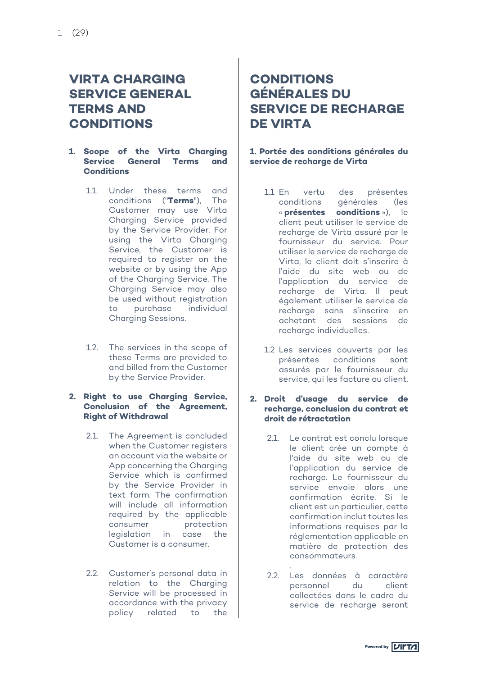# **VIRTA CHARGING SERVICE GENERAL TERMS AND CONDITIONS**

#### **1. Scope of the Virta Charging Service General Terms and Conditions**

- 1.1. Under these terms and conditions ("**Terms**"), The Customer may use Virta Charging Service provided by the Service Provider. For using the Virta Charging Service, the Customer is required to register on the website or by using the App of the Charging Service. The Charging Service may also be used without registration to purchase individual Charging Sessions.
- 1.2. The services in the scope of these Terms are provided to and billed from the Customer by the Service Provider.

#### **2. Right to use Charging Service, Conclusion of the Agreement, Right of Withdrawal**

- 2.1. The Agreement is concluded when the Customer registers an account via the website or App concerning the Charging Service which is confirmed by the Service Provider in text form. The confirmation will include all information required by the applicable consumer protection legislation in case the Customer is a consumer.
- 2.2. Customer's personal data in relation to the Charging Service will be processed in accordance with the privacy policy related to the

# **CONDITIONS GÉNÉRALES DU SERVICE DE RECHARGE DE VIRTA**

#### **1. Portée des conditions générales du service de recharge de Virta**

- 1.1 En vertu des présentes conditions générales (les « **présentes conditions** »), le client peut utiliser le service de recharge de Virta assuré par le fournisseur du service. Pour utiliser le service de recharge de Virta, le client doit s'inscrire à l'aide du site web ou de l'application du service de recharge de Virta. Il peut également utiliser le service de recharge sans s'inscrire en achetant des sessions de recharge individuelles.
- 1.2 Les services couverts par les présentes conditions sont assurés par le fournisseur du service, qui les facture au client.

#### **2. Droit d'usage du service de recharge, conclusion du contrat et droit de rétractation**

- 2.1. Le contrat est conclu lorsque le client crée un compte à l'aide du site web ou de l'application du service de recharge. Le fournisseur du service envoie alors une confirmation écrite. Si le client est un particulier, cette confirmation inclut toutes les informations requises par la réglementation applicable en matière de protection des consommateurs.
- . 2.2. Les données à caractère personnel du client collectées dans le cadre du service de recharge seront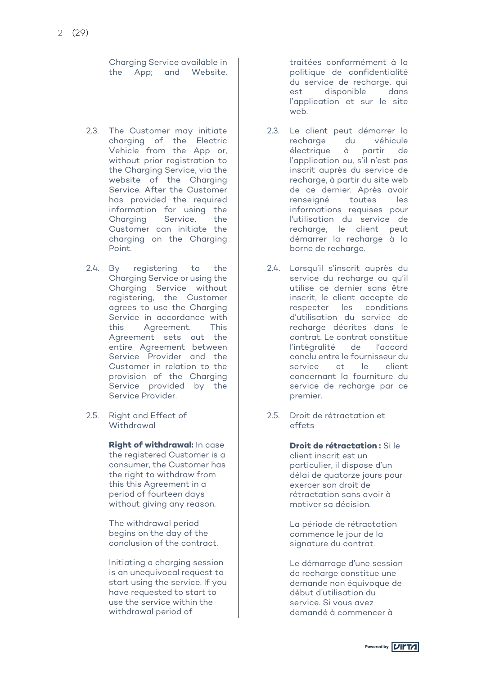Charging Service available in the App; and Website.

- 2.3. The Customer may initiate charging of the Electric Vehicle from the App or, without prior registration to the Charging Service, via the website of the Charging Service. After the Customer has provided the required information for using the Charging Service, the Customer can initiate the charging on the Charging Point.
- 2.4. By registering to the Charging Service or using the Charging Service without registering, the Customer agrees to use the Charging Service in accordance with this Agreement. This Agreement sets out the entire Agreement between Service Provider and the Customer in relation to the provision of the Charging Service provided by the Service Provider.
- 2.5. Right and Effect of Withdrawal

**Right of withdrawal:** In case the registered Customer is a consumer, the Customer has the right to withdraw from this this Agreement in a period of fourteen days without giving any reason.

The withdrawal period begins on the day of the conclusion of the contract.

Initiating a charging session is an unequivocal request to start using the service. If you have requested to start to use the service within the withdrawal period of

traitées conformément à la politique de confidentialité du service de recharge, qui est disponible dans l'application et sur le site web.

- 2.3. Le client peut démarrer la<br>recharae du véhicule recharge électrique à partir de l'application ou, s'il n'est pas inscrit auprès du service de recharge, à partir du site web de ce dernier. Après avoir renseigné toutes les informations requises pour l'utilisation du service de recharge, le client peut démarrer la recharge à la borne de recharge.
- 2.4. Lorsqu'il s'inscrit auprès du service du recharge ou qu'il utilise ce dernier sans être inscrit, le client accepte de respecter les conditions d'utilisation du service de recharge décrites dans le contrat. Le contrat constitue l'intégralité de l'accord conclu entre le fournisseur du service et le client concernant la fourniture du service de recharge par ce premier.
- 2.5. Droit de rétractation et effets

**Droit de rétractation :** Si le client inscrit est un particulier, il dispose d'un délai de quatorze jours pour exercer son droit de rétractation sans avoir à motiver sa décision.

La période de rétractation commence le jour de la signature du contrat.

Le démarrage d'une session de recharge constitue une demande non équivoque de début d'utilisation du service. Si vous avez demandé à commencer à

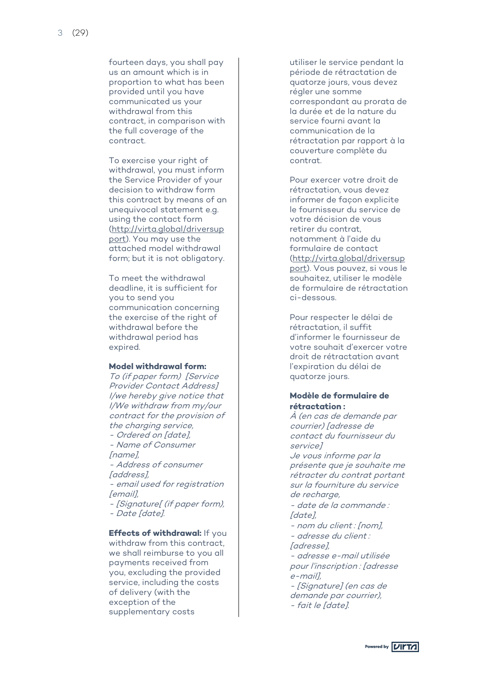fourteen days, you shall pay us an amount which is in proportion to what has been provided until you have communicated us your withdrawal from this contract, in comparison with the full coverage of the contract.

To exercise your right of withdrawal, you must inform the Service Provider of your decision to withdraw form this contract by means of an unequivocal statement e.g. using the contact form (http://virta.global/driversup port). You may use the attached model withdrawal form; but it is not obligatory.

To meet the withdrawal deadline, it is sufficient for you to send you communication concerning the exercise of the right of withdrawal before the withdrawal period has expired.

#### **Model withdrawal form:**

To (if paper form) [Service Provider Contact Address] I/we hereby give notice that I/We withdraw from my/our contract for the provision of the charging service,

- Ordered on [date], Name of Consumer [name],<br>- Address of consumer

[address],

- email used for registration  $[email]$ 

- [Signature[ (if paper form), - Date [date].

**Effects of withdrawal:** If you withdraw from this contract, we shall reimburse to you all payments received from you, excluding the provided service, including the costs of delivery (with the exception of the supplementary costs

utiliser le service pendant la période de rétractation de quatorze jours, vous devez régler une somme correspondant au prorata de<br>la durée et de la nature du service fourni avant la communication de la rétractation par rapport à la couverture complète du contrat.

Pour exercer votre droit de rétractation, vous devez informer de façon explicite le fournisseur du service de votre décision de vous retirer du contrat, notamment à l'aide du formulaire de contact<br>(http://virta.global/driversup port). Vous pouvez, si vous le souhaitez, utiliser le modèle de formulaire de rétractation ci -dessous.

Pour respecter le délai de rétractation, il suffit d'informer le fournisseur de votre souhait d'exercer votre droit de rétractation avant l'expiration du délai de quatorze jours.

# **Modèle de formulaire de rétractation :**

À (en cas de demande par courrier) [adresse de contact du fournisseur du service] Je vous informe par la présente que je souhaite me rétracter du contrat portant sur la fourniture du service de recharge. date de la commande : [date] - nom du client : [nom], adresse du client : [adresse], adresse e-mail utilisée pour l'inscription : [adresse<br>e-maill, - [Signature] (en cas de demande par courrier), - fait le [date].

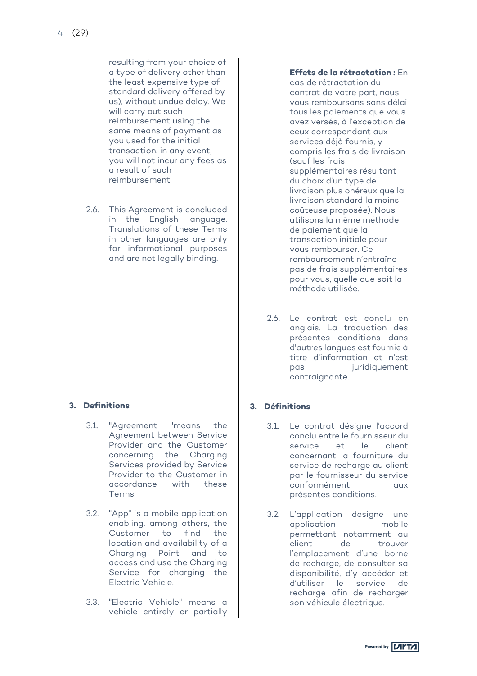resulting from your choice of a type of delivery other than the least expensive type of standard delivery offered by us), without undue delay. We will carry out such reimbursement using the same means of payment as you used for the initial transaction. in any event, you will not incur any fees as a result of such reimbursement.

2.6. This Agreement is concluded in the English language. Translations of these Terms in other languages are only for informational purposes and are not legally binding.

# **3. Definitions**

- 3.1. "Agreement "means the Agreement between Service Provider and the Customer concerning the Charging Services provided by Service Provider to the Customer in accordance with these Terms.
- 3.2. "App" is a mobile application enabling, among others, the Customer to find the location and availability of a Charging Point and to access and use the Charging Service for charging the Electric Vehicle.
- 3.3. "Electric Vehicle" means a vehicle entirely or partially

#### **Effets de la rétractation :** En

cas de rétractation du contrat de votre part, nous vous remboursons sans délai tous les paiements que vous avez versés, à l'exception de ceux correspondant aux services déjà fournis, y compris les frais de livraison (sauf les frais supplémentaires résultant du choix d'un type de livraison plus onéreux que la livraison standard la moins coûteuse proposée). Nous utilisons la même méthode de paiement que la transaction initiale pour vous rembourser. Ce remboursement n'entraîne pas de frais supplémentaires pour vous, quelle que soit la méthode utilisée.

2.6. Le contrat est conclu en anglais. La traduction des présentes conditions dans d'autres langues est fournie à titre d'information et n'est pas juridiquement contraignante.

# **3. Définitions**

- 3.1. Le contrat désigne l'accord conclu entre le fournisseur du service et le client concernant la fourniture du service de recharge au client par le fournisseur du service conformément aux présentes conditions.
- 3.2. L'application désigne une application permettant notamment au client de trouver l'emplacement d'une borne de recharge, de consulter sa disponibilité, d'y accéder et d'utiliser le service de recharge afin de recharger son véhicule électrique.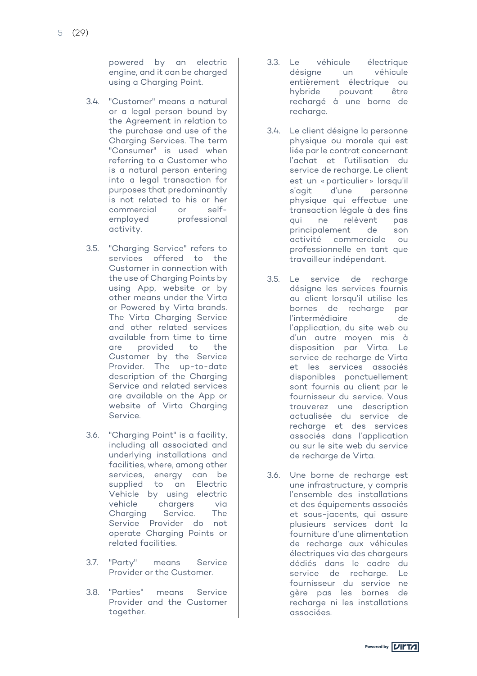powered by an electric engine, and it can be charged using a Charging Point.

- 3.4. "Customer" means a natural or a legal person bound by the Agreement in relation to the purchase and use of the Charging Services. The term "Consumer" is used when referring to a Customer who is a natural person entering into a legal transaction for purposes that predominantly is not related to his or her commercial or  $s$ elfemployed professional activity.
- 3.5. "Charging Service" refers to services offered to the Customer in connection with the use of Charging Points by using App, website or by other means under the Virta or Powered by Virta brands. The Virta Charging Service and other related services available from time to time are provided to the Customer by the Service Provider. The up -to -date description of the Charging Service and related services are available on the App or website of Virta Charging Service.
- 3.6. "Charging Point" is a facility, including all associated and underlying installations and facilities, where, among other services, energy can be supplied to an Electric Vehicle by using electric vehicle chargers via Charging Service. The Service Provider do not operate Charging Points or related facilities.
- 3.7. "Party" means Service Provider or the Customer.
- 3.8. "Parties" means Service Provider and the Customer together.
- 3.3. Le véhicule électrique désigne un véhicule entièrement électrique ou hybride pouvant être rechargé à une borne de recharge.
- 3.4. Le client désigne la personne physique ou morale qui est liée par le contrat concernant l'achat et l'utilisation du service de recharge. Le client est un « particulier » lorsqu'il s'agit d'une personne physique qui effectue une transaction légale à des fins qui ne relèvent pas<br>principalement de son<br>activité commerciale ou commerciale ou professionnelle en tant que travailleur indépendant.
- 3.5. Le service de recharge désigne les services fournis au client lorsqu'il utilise les bornes de recharge par l'intermédiaire de<br>l'application, du site web ou d'un autre moyen mis à disposition par Virta. Le service de recharge de Virta et les services associés disponibles ponctuellement sont fournis au client par le fournisseur du service. Vous trouverez une description actualisée du service de recharge et des services associés dans l'application ou sur le site web du service de recharge de Virta .
- 3.6. Une borne de recharge est une infrastructure, y compris l'ensemble des installations et des équipements associés et sous -jacents, qui assure plusieurs services dont la fourniture d'une alimentation de recharge aux véhicules électriques via des chargeurs dédiés dans le cadre du service de recharge. Le fournisseur du service ne gère pas les bornes de recharge ni les installations associées.

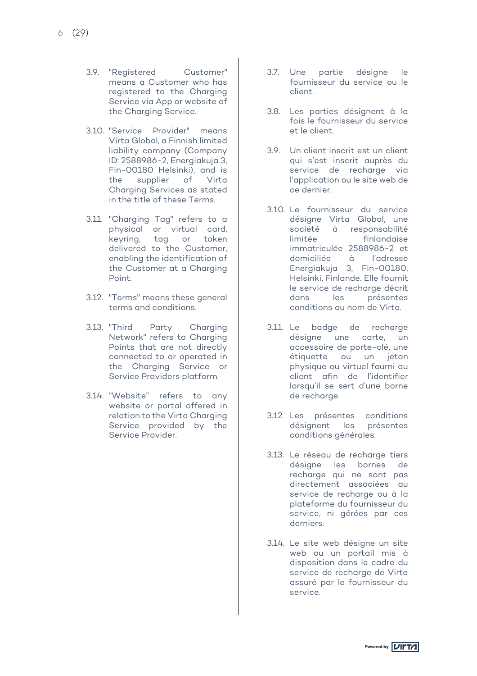- 3.9. "Registered Customer" means a Customer who has registered to the Charging Service via App or website of the Charging Service.
- 3.10. "Service Provider" means Virta Global, a Finnish limited liability company (Company ID: 2588986-2, Energiakuja 3, Fin-00180 Helsinki), and is the supplier of Virta Charging Services as stated in the title of these Terms.
- 3.11. "Charging Tag" refers to a physical or virtual card, keyring, tag or token delivered to the Customer, enabling the identification of the Customer at a Charging Point.
- 3.12. "Terms" means these general terms and conditions.
- 3.13. "Third Party Charging Network" refers to Charging Points that are not directly connected to or operated in the Charging Service or Service Providers platform.
- 3.14. "Website" refers to any website or portal offered in relation to the Virta Charging Service provided by the Service Provider.
- 3.7. Une partie désigne le fournisseur du service ou le client.
- 3.8. Les parties désignent à la fois le fournisseur du service et le client.
- 3.9. Un client inscrit est un client qui s'est inscrit auprès du service de recharge via l'application ou le site web de ce dernier.
- 3.10. Le fournisseur du service désigne Virta Global, une société à responsabilité limitée finlandaise immatriculée 2588986-2 et domiciliée à l'adresse Energiakuja 3, Fin-00180, Helsinki, Finlande. Elle fournit le service de recharge décrit dans les présentes conditions au nom de Virta.
- 3.11. Le badge de recharge désigne une carte, un accessoire de porte-clé, une étiquette ou un jeton physique ou virtuel fourni au client afin de l'identifier lorsqu'il se sert d'une borne de recharge.
- 3.12. Les présentes conditions désignent les présentes conditions générales.
- 3.13. Le réseau de recharge tiers désigne les bornes de recharge qui ne sont pas directement associées au service de recharge ou à la plateforme du fournisseur du service, ni gérées par ces derniers.
- 3.14. Le site web désigne un site web ou un portail mis à disposition dans le cadre du service de recharge de Virta assuré par le fournisseur du service.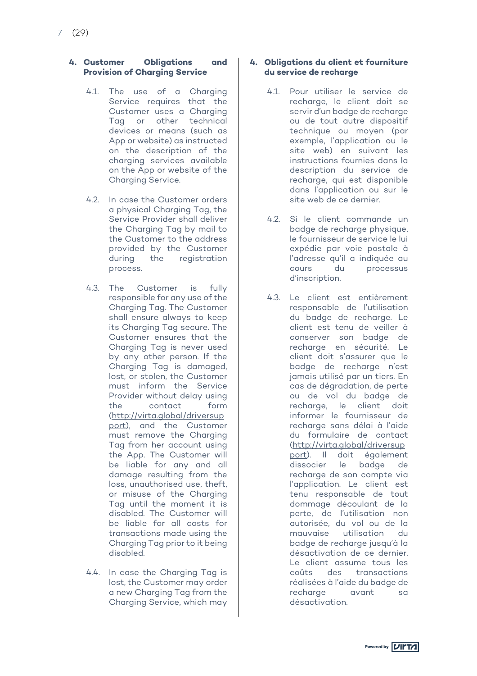#### **4. Customer Obligations and Provision of Charging Service**

- 4.1. The use of a Charging Service requires that the Customer uses a Charging Tag or other technical devices or means (such as App or website) as instructed on the description of the charging services available on the App or website of the Charging Service.
- 4.2. In case the Customer orders a physical Charging Tag, the Service Provider shall deliver the Charging Tag by mail to the Customer to the address provided by the Customer during the registration process.
- 4.3. The Customer is fully responsible for any use of the Charging Tag. The Customer shall ensure always to keep its Charging Tag secure. The Customer ensures that the Charging Tag is never used by any other person. If the Charging Tag is damaged, lost, or stolen, the Customer must inform the Service Provider without delay using the contact form (http://virta.global/driversup port), and the Customer must remove the Charging Tag from her account using the App. The Customer will be liable for any and all damage resulting from the loss, unauthorised use, theft, or misuse of the Charging Tag until the moment it is disabled. The Customer will be liable for all costs for transactions made using the Charging Tag prior to it being disabled.
- 4.4. In case the Charging Tag is lost, the Customer may order a new Charging Tag from the Charging Service, which may

### **4. Obligations du client et fourniture du service de recharge**

- 4.1. Pour utiliser le service de recharge, le client doit se servir d'un badge de recharge ou de tout autre dispositif technique ou moyen (par exemple, l'application ou le site web) en suivant les instructions fournies dans la description du service de recharge, qui est disponible dans l'application ou sur le site web de ce dernier.
- 4.2. Si le client commande un badge de recharge physique, le fournisseur de service le lui expédie par voie postale à l'adresse qu'il a indiquée au cours du processus d'inscription.
- 4.3. Le client est entièrement responsable de l'utilisation du badge de recharge. Le client est tenu de veiller à conserver son badge de recharge en sécurité. Le client doit s'assurer que le badge de recharge n'est jamais utilisé par un tiers. En cas de dégradation, de perte ou de vol du badge de recharge, le client doit informer le fournisseur de recharge sans délai à l'aide du formulaire de contact (http://virta.global/driversup port). Il doit également dissocier le badge de recharge de son compte via l'application. Le client est tenu responsable de tout dommage découlant de la perte, de l'utilisation non autorisée, du vol ou de la mauvaise utilisation du badge de recharge jusqu'à la désactivation de ce dernier. Le client assume tous les coûts des transactions réalisées à l'aide du badge de recharge avant sa désactivation.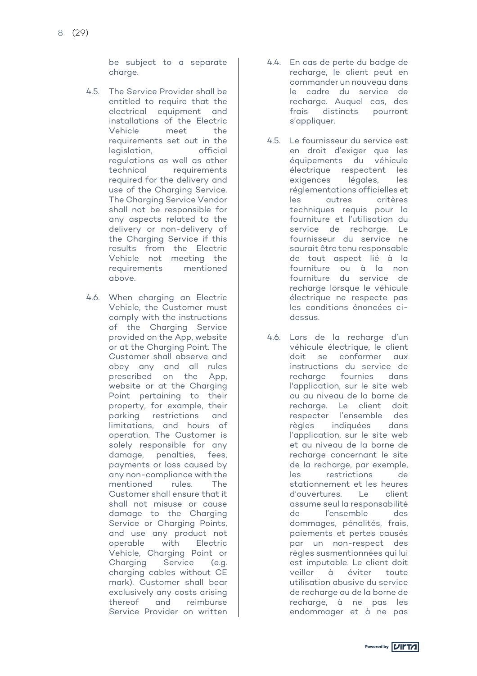be subject to a separate charge.

- 4.5. The Service Provider shall be entitled to require that the electrical equipment and installations of the Electric Vehicle meet the requirements set out in the legislation, official regulations as well as other technical requirements required for the delivery and use of the Charging Service. The Charging Service Vendor shall not be responsible for any aspects related to the delivery or non-delivery of the Charging Service if this results from the Electric Vehicle not meeting the requirements mentioned above.
- 4.6. When charging an Electric Vehicle, the Customer must comply with the instructions of the Charging Service provided on the App, website or at the Charging Point. The Customer shall observe and obey any and all rules prescribed on the App, website or at the Charging Point pertaining to their property, for example, their parking restrictions and limitations, and hours of operation. The Customer is solely responsible for any damage, penalties, fees, payments or loss caused by any non-compliance with the mentioned rules. The Customer shall ensure that it shall not misuse or cause damage to the Charging Service or Charging Points, and use any product not operable with Electric Vehicle, Charging Point or Charging Service (e.g. charging cables without CE mark). Customer shall bear exclusively any costs arising thereof and reimburse Service Provider on written
- 4.4. En cas de perte du badge de recharge, le client peut en commander un nouveau dans le cadre du service de recharge. Auquel cas, des frais distincts pourront s'appliquer.
- 4.5. Le fournisseur du service est en droit d'exiger que les équipements du véhicule électrique respectent les exigences légales, les réglementations officielles et les autres critères techniques requis pour la fourniture et l'utilisation du service de recharge. Le fournisseur du service ne saurait être tenu responsable de tout aspect lié à la fourniture ou à la non fourniture du service de recharge lorsque le véhicule électrique ne respecte pas les conditions énoncées cidessus.
- 4.6. Lors de la recharge d'un véhicule électrique, le client doit se conformer aux instructions du service de recharge fournies dans l'application, sur le site web ou au niveau de la borne de recharge. Le client doit respecter l'ensemble des règles indiquées dans l'application, sur le site web et au niveau de la borne de recharge concernant le site de la recharge, par exemple, les restrictions de stationnement et les heures d'ouvertures. Le client assume seul la responsabilité de l'ensemble des dommages, pénalités, frais, paiements et pertes causés par un non-respect des règles susmentionnées qui lui est imputable. Le client doit veiller à éviter toute utilisation abusive du service de recharge ou de la borne de recharge, à ne pas les endommager et à ne pas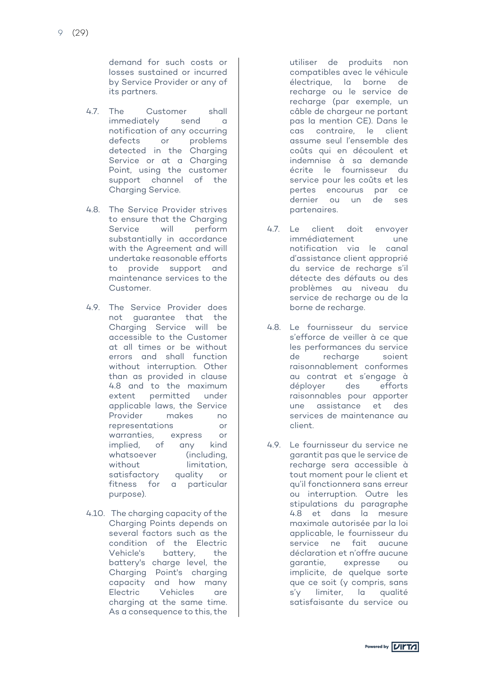demand for such costs or losses sustained or incurred by Service Provider or any of its partners.

- 4.7. The Customer shall immediately send a notification of any occurring<br>defects or problems or problems detected in the Charging Service or at a Charging Point, using the customer support channel of the Charging Service.
- 4.8. The Service Provider strives to ensure that the Charging Service will perform substantially in accordance with the Agreement and will undertake reasonable efforts to provide support and maintenance services to the Customer.
- 4.9. The Service Provider does not guarantee that the Charging Service will be accessible to the Customer at all times or be without errors and shall function without interruption. Other than as provided in clause 4.8 and to the maximum extent permitted under applicable laws, the Service Provider makes no representations or warranties, express or implied, of any kind whatsoever (including, without limitation, satisfactory quality or fitness for a particular purpose).
- 4.10. The charging capacity of the Charging Points depends on several factors such as the condition of the Electric Vehicle's battery, the battery's charge level, the Charging Point's charging capacity and how many<br>Electric Vehicles are Vehicles are charging at the same time. As a consequence to this, the

utiliser de produits non compatibles avec le véhicule électrique, la borne de recharge ou le service de recharge (par exemple, un câble de chargeur ne portant pas la mention CE). Dans le cas contraire, le client assume seul l'ensemble des coûts qui en découlent et indemnise à sa demande écrite le fournisseur du service pour les coûts et les pertes encourus par ce dernier ou un de ses partenaires.

- 4.7. Le client doit envoyer immédiatement une notification via le canal d'assistance client approprié du service de recharge s'il détecte des défauts ou des problèmes au niveau du service de recharge ou de la borne de recharge.
- 4.8. Le fournisseur du service s'efforce de veiller à ce que les performances du service de recharge soient raisonnablement conformes au contrat et s'engage à déployer des efforts raisonnables pour apporter une assistance et des services de maintenance au client.
- 4.9. Le fournisseur du service ne garantit pas que le service de recharge sera accessible à tout moment pour le client et qu'il fonctionnera sans erreur ou interruption. Outre les stipulations du paragraphe 4.8 et dans la mesure maximale autorisée par la loi applicable, le fournisseur du service ne fait aucune déclaration et n'offre aucune garantie, expresse ou implicite, de quelque sorte que ce soit (y compris, sans s'y limiter, la qualité satisfaisante du service ou

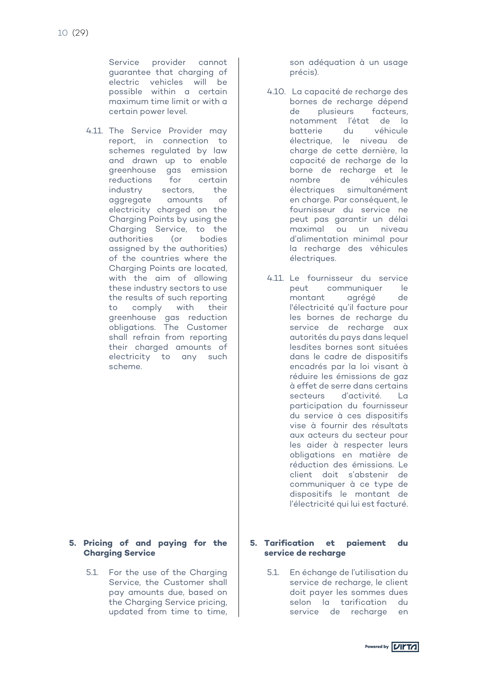Service provider cannot guarantee that charging of electric vehicles will be possible within a certain maximum time limit or with a certain power level.

4.11. The Service Provider may report, in connection to schemes regulated by law and drawn up to enable greenhouse gas emission reductions for certain industry sectors, the aggregate amounts of electricity charged on the Charging Points by using the Charging Service, to the authorities (or bodies assigned by the authorities) of the countries where the Charging Points are located, with the aim of allowing these industry sectors to use the results of such reporting to comply with their greenhouse gas reduction obligations. The Customer shall refrain from reporting their charged amounts of electricity to any such scheme.

# **5. Pricing of and paying for the Charging Service**

5.1. For the use of the Charging Service, the Customer shall pay amounts due, based on the Charging Service pricing, updated from time to time, son adéquation à un usage précis).

- 4.10. La capacité de recharge des bornes de recharge dépend<br>de plusieurs facteurs de plusieurs notamment l'état de la batterie du véhicule électrique, le niveau de charge de cette dernière, la capacité de recharge de la borne de recharge et le<br>nombre de véhicules nombre de véhicules électriques simultanément en charge. Par conséquent, le fournisseur du service ne peut pas garantir un délai maximal ou un niveau d'alimentation minimal pour la recharge des véhicules électriques.
- 4.11. Le fournisseur du service peut communiquer le montant agrégé de l'électricité qu'il facture pour les bornes de recharge du service de recharge aux autorités du pays dans lequel lesdites bornes sont situées dans le cadre de dispositifs encadrés par la loi visant à réduire les émissions de gaz à effet de serre dans certains secteurs d'activité. La participation du fournisseur du service à ces dispositifs vise à fournir des résultats aux acteurs du secteur pour les aider à respecter leurs obligations en matière de réduction des émissions. Le client doit s'abstenir de communiquer à ce type de dispositifs le montant de l'électricité qui lui est facturé.

#### **5. Tarification et paiement du service de recharge**

5.1. En échange de l'utilisation du service de recharge, le client doit payer les sommes dues selon la tarification du service de recharge en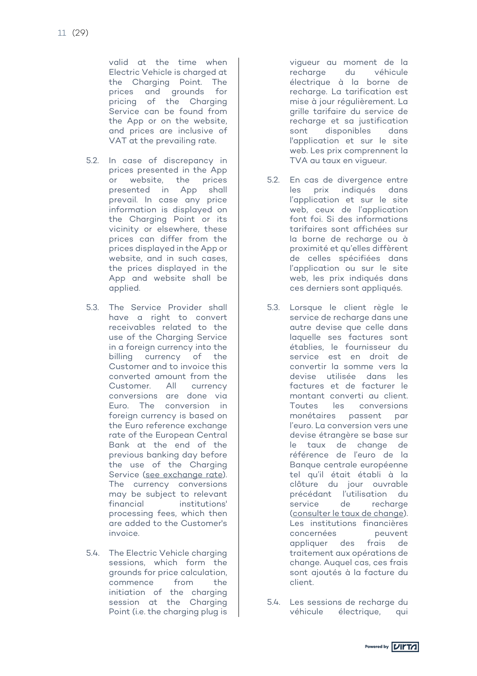valid at the time when Electric Vehicle is charged at the Charging Point. The prices and grounds for pricing of the Charging Service can be found from the App or on the website, and prices are inclusive of VAT at the prevailing rate.

- 5.2. In case of discrepancy in prices presented in the App or website, the prices presented in App shall prevail. In case any price information is displayed on the Charging Point or its vicinity or elsewhere, these prices can differ from the prices displayed in the App or website, and in such cases, the prices displayed in the App and website shall be applied.
- 5.3. The Service Provider shall have a right to convert receivables related to the use of the Charging Service in a foreign currency into the billing currency of the Customer and to invoice this converted amount from the Customer. All currency conversions are done via Euro. The conversion in foreign currency is based on the Euro reference exchange rate of the European Central Bank at the end of the previous banking day before the use of the Charging Service (see exchange rate). The currency conversions may be subject to relevant financial institutions' processing fees, which then are added to the Customer's invoice.
- 5.4. The Electric Vehicle charging sessions, which form the grounds for price calculation, commence from the initiation of the charging session at the Charging Point (i.e. the charging plug is

vigueur au moment de la recharge du véhicule électrique à la borne de recharge. La tarification est mise à jour régulièrement. La grille tarifaire du service de recharge et sa justification sont disponibles dans l'application et sur le site web. Les prix comprennent la TVA au taux en vigueur.

- 5.2. En cas de divergence entre les prix indiqués dans l'application et sur le site web, ceux de l'application font foi. Si des informations tarifaires sont affichées sur la borne de recharge ou à proximité et qu'elles diffèrent de celles spécifiées dans l'application ou sur le site web, les prix indiqués dans ces derniers sont appliqués.
- 5.3. Lorsque le client règle le service de recharge dans une autre devise que celle dans laquelle ses factures sont établies, le fournisseur du service est en droit de convertir la somme vers la devise utilisée dans les factures et de facturer le montant converti au client. Toutes les conversions monétaires passent par l'euro. La conversion vers une devise étrangère se base sur le taux de change de référence de l'euro de la Banque centrale européenne tel qu'il était établi à la clôture du jour ouvrable précédant l'utilisation du service de recharge (consulter le taux de change). Les institutions financières concernées peuvent appliquer des frais de traitement aux opérations de change. Auquel cas, ces frais sont ajoutés à la facture du client.
- 5.4. Les sessions de recharge du véhicule électrique, qui

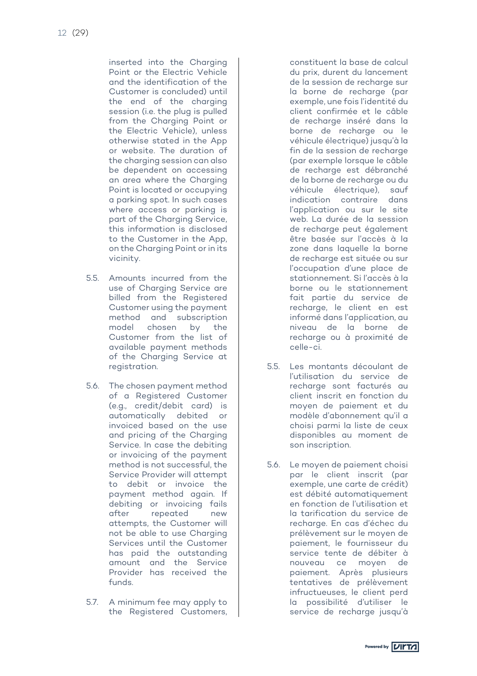inserted into the Charging Point or the Electric Vehicle and the identification of the Customer is concluded) until the end of the charging session (i.e. the plug is pulled from the Charging Point or the Electric Vehicle), unless otherwise stated in the App or website. The duration of the charging session can also be dependent on accessing an area where the Charging Point is located or occupying a parking spot. In such cases where access or parking is part of the Charging Service, this information is disclosed to the Customer in the App, on the Charging Point or in its vicinity.

- 5.5. Amounts incurred from the use of Charging Service are billed from the Registered Customer using the payment method and subscription model chosen by the Customer from the list of available payment methods of the Charging Service at registration.
- 5.6. The chosen payment method of a Registered Customer (e.g., credit/debit card) is automatically debited or invoiced based on the use and pricing of the Charging Service. In case the debiting or invoicing of the payment method is not successful, the Service Provider will attempt to debit or invoice the payment method again. If debiting or invoicing fails after repeated new attempts, the Customer will not be able to use Charging Services until the Customer has paid the outstanding amount and the Service Provider has received the funds.
- 5.7. A minimum fee may apply to the Registered Customers,

constituent la base de calcul du prix, durent du lancement de la session de recharge sur la borne de recharge (par exemple, une fois l'identité du client confirmée et le câble de recharge inséré dans la borne de recharge ou le véhicule électrique) jusqu'à la fin de la session de recharge (par exemple lorsque le câble de recharge est débranché de la borne de recharge ou du véhicule électrique), sauf indication contraire dans l'application ou sur le site web. La durée de la session de recharge peut également être basée sur l'accès à la zone dans laquelle la borne de recharge est située ou sur l'occupation d'une place de stationnement. Si l'accès à la borne ou le stationnement fait partie du service de recharge, le client en est informé dans l'application, au niveau de la borne de recharge ou à proximité de celle-ci.

- 5.5. Les montants découlant de l'utilisation du service de recharge sont facturés au client inscrit en fonction du moyen de paiement et du modèle d'abonnement qu'il a choisi parmi la liste de ceux disponibles au moment de son inscription.
- 5.6. Le moyen de paiement choisi par le client inscrit (par exemple, une carte de crédit) est débité automatiquement en fonction de l'utilisation et la tarification du service de recharge. En cas d'échec du prélèvement sur le moyen de paiement, le fournisseur du service tente de débiter à nouveau ce moyen de paiement. Après plusieurs tentatives de prélèvement infructueuses, le client perd la possibilité d'utiliser le service de recharge jusqu'à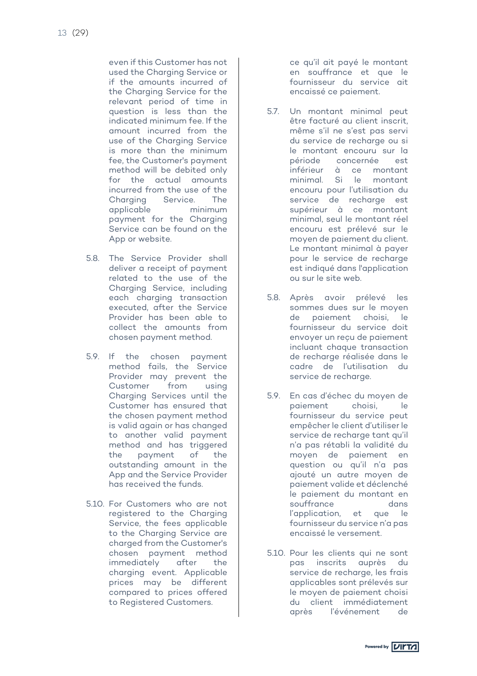even if this Customer has not used the Charging Service or if the amounts incurred of the Charging Service for the relevant period of time in question is less than the indicated minimum fee. If the amount incurred from the use of the Charging Service is more than the minimum fee, the Customer's payment method will be debited only for the actual amounts incurred from the use of the Charging Service. The applicable minimum payment for the Charging Service can be found on the App or website.

- 5.8. The Service Provider shall deliver a receipt of payment related to the use of the Charging Service, including each charging transaction executed, after the Service Provider has been able to collect the amounts from chosen payment method.
- 5.9. If the chosen payment method fails, the Service Provider may prevent the Customer from using Charging Services until the Customer has ensured that the chosen payment method is valid again or has changed to another valid payment method and has triggered the payment of the outstanding amount in the App and the Service Provider has received the funds.
- 5.10. For Customers who are not registered to the Charging Service, the fees applicable to the Charging Service are charged from the Customer's chosen payment method immediately after the charging event. Applicable prices may be different compared to prices offered to Registered Customers.

ce qu'il ait payé le montant en souffrance et que le fournisseur du service ait encaissé ce paiement.

- 5.7. Un montant minimal peut être facturé au client inscrit. même s'il ne s'est pas servi du service de recharge ou si le montant encouru sur la période concernée est inférieur à ce montant minimal. Si le montant encouru pour l'utilisation du service de recharge est supérieur à ce montant minimal, seul le montant réel encouru est prélevé sur le moyen de paiement du client. Le montant minimal à payer pour le service de recharge est indiqué dans l'application ou sur le site web.
- 5.8. Après avoir prélevé les sommes dues sur le moyen de paiement choisi, le fournisseur du service doit envoyer un reçu de paiement incluant chaque transaction de recharge réalisée dans le cadre de l'utilisation du service de recharge.
- 5.9. En cas d'échec du moyen de paiement choisi, le fournisseur du service peut empêcher le client d'utiliser le service de recharge tant qu'il n'a pas rétabli la validité du moyen de paiement en question ou qu'il n'a pas ajouté un autre moyen de paiement valide et déclenché le paiement du montant en souffrance dans l'application, et que le fournisseur du service n'a pas encaissé le versement.
- 5.10. Pour les clients qui ne sont pas inscrits auprès du service de recharge, les frais applicables sont prélevés sur le moyen de paiement choisi du client immédiatement après l'événement de

Powered by **VITTA**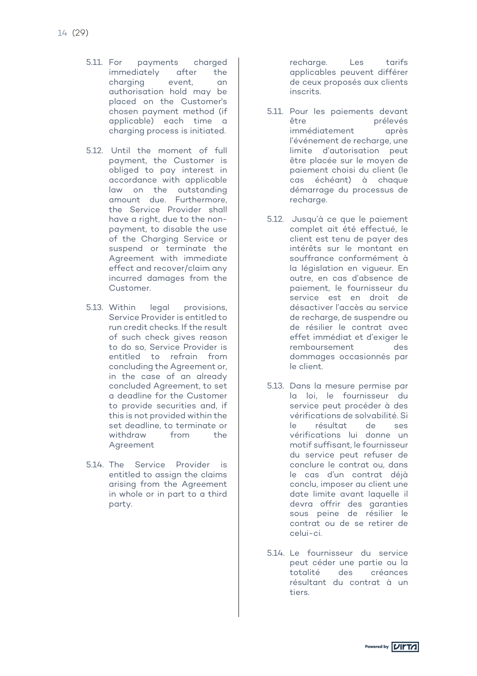- 5.11. For payments charged immediately after the charging event, an authorisation hold may be placed on the Customer's chosen payment method (if applicable) each time a charging process is initiated.
- 5.12. Until the moment of full payment, the Customer is obliged to pay interest in accordance with applicable law on the outstanding amount due. Furthermore, the Service Provider shall have a right, due to the nonpayment, to disable the use of the Charging Service or suspend or terminate the Agreement with immediate effect and recover/claim any incurred damages from the Customer.
- 5.13. Within legal provisions, Service Provider is entitled to run credit checks. If the result of such check gives reason to do so, Service Provider is entitled to refrain from concluding the Agreement or, in the case of an already concluded Agreement, to set a deadline for the Customer to provide securities and, if this is not provided within the set deadline, to terminate or withdraw from the Agreement
- 5.14. The Service Provider is entitled to assign the claims arising from the Agreement in whole or in part to a third party.

recharge. Les tarifs applicables peuvent différer de ceux proposés aux clients inscrits.

- 5.11. Pour les paiements devant être prélevés immédiatement après l'événement de recharge, une limite d'autorisation peut être placée sur le moyen de paiement choisi du client (le cas échéant) à chaque démarrage du processus de recharge.
- 5.12. Jusqu'à ce que le paiement complet ait été effectué, le client est tenu de payer des intérêts sur le montant en souffrance conformément à la législation en vigueur. En outre, en cas d'absence de paiement, le fournisseur du service est en droit de désactiver l'accès au service de recharge, de suspendre ou de résilier le contrat avec effet immédiat et d'exiger le remboursement des dommages occasionnés par le client.
- 5.13. Dans la mesure permise par la loi, le fournisseur du service peut procéder à des vérifications de solvabilité. Si<br>le résultat de ses le résultat de ses vérifications lui donne un motif suffisant, le fournisseur du service peut refuser de conclure le contrat ou, dans le cas d'un contrat déjà conclu, imposer au client une date limite avant laquelle il devra offrir des garanties sous peine de résilier le contrat ou de se retirer de celui-ci.
- 5.14. Le fournisseur du service peut céder une partie ou la totalité des créances résultant du contrat à un tiers.

Powered by **VIITA**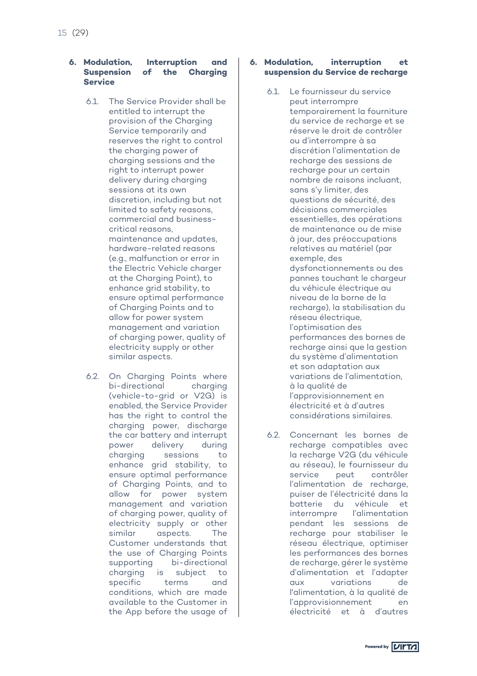#### **6. Modulation, Interruption and Suspension of the Charging Service**

- 6.1. The Service Provider shall be entitled to interrupt the provision of the Charging Service temporarily and reserves the right to control the charging power of charging sessions and the right to interrupt power delivery during charging sessions at its own discretion, including but not limited to safety reasons, commercial and businesscritical reasons, maintenance and updates, hardware-related reasons (e.g., malfunction or error in the Electric Vehicle charger at the Charging Point), to enhance grid stability, to ensure optimal performance of Charging Points and to allow for power system management and variation of charging power, quality of electricity supply or other similar aspects.
- 6.2. On Charging Points where bi-directional charging (vehicle-to-grid or V2G) is enabled, the Service Provider has the right to control the charging power, discharge the car battery and interrupt power delivery during charging sessions to enhance grid stability, to ensure optimal performance of Charging Points, and to allow for power system management and variation of charging power, quality of electricity supply or other similar aspects. The Customer understands that the use of Charging Points supporting bi-directional charging is subject to specific terms and conditions, which are made available to the Customer in the App before the usage of

#### **6. Modulation, interruption et suspension du Service de recharge**

- 6.1. Le fournisseur du service peut interrompre temporairement la fourniture du service de recharge et se réserve le droit de contrôler ou d'interrompre à sa discrétion l'alimentation de recharge des sessions de recharge pour un certain nombre de raisons incluant, sans s'y limiter, des questions de sécurité, des décisions commerciales essentielles, des opérations de maintenance ou de mise à jour, des préoccupations relatives au matériel (par exemple, des dysfonctionnements ou des pannes touchant le chargeur du véhicule électrique au niveau de la borne de la recharge), la stabilisation du réseau électrique, l'optimisation des performances des bornes de recharge ainsi que la gestion du système d'alimentation et son adaptation aux variations de l'alimentation, à la qualité de l'approvisionnement en électricité et à d'autres considérations similaires.
- 6.2. Concernant les bornes de recharge compatibles avec la recharge V2G (du véhicule au réseau), le fournisseur du service peut contrôler l'alimentation de recharge, puiser de l'électricité dans la batterie du véhicule et interrompre l'alimentation pendant les sessions de recharge pour stabiliser le réseau électrique, optimiser les performances des bornes de recharge, gérer le système d'alimentation et l'adapter aux variations de l'alimentation, à la qualité de l'approvisionnement en électricité et à d'autres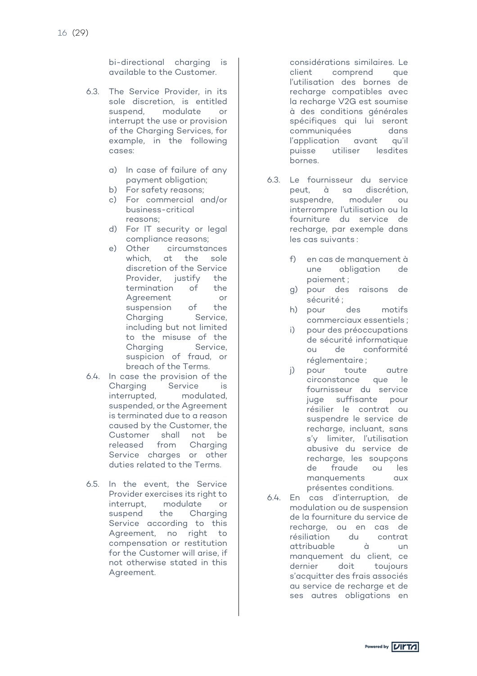bi-directional charging is available to the Customer.

- 6.3. The Service Provider, in its sole discretion, is entitled suspend, modulate or interrupt the use or provision of the Charging Services, for example, in the following cases:
	- a) In case of failure of any payment obligation;
	- b) For safety reasons:
	- c) For commercial and/or business-critical reasons;
	- d) For IT security or legal compliance reasons;
	- e) Other circumstances which, at the sole discretion of the Service Provider, justify the termination of the Agreement or<br>suspension of the suspension Charging Service, including but not limited to the misuse of the Charging Service, suspicion of fraud, or breach of the Terms.
- 6.4. In case the provision of the Charging Service is interrupted, modulated, suspended, or the Agreement is terminated due to a reason caused by the Customer, the Customer shall not be released from Charging Service charges or other duties related to the Terms.
- 6.5. In the event, the Service Provider exercises its right to interrupt, modulate or suspend the Charging Service according to this Agreement, no right to compensation or restitution for the Customer will arise, if not otherwise stated in this Agreement.

considérations similaires. Le client comprend que l'utilisation des bornes de recharge compatibles avec la recharge V2G est soumise à des conditions générales spécifiques qui lui seront communiquées dans l'application avant qu'il puisse utiliser lesdites bornes.

- 6.3. Le fournisseur du service peut, à sa discrétion, suspendre, moduler ou interrompre l'utilisation ou la fourniture du service de recharge, par exemple dans les cas suivants :
	- f) en cas de manquement à une obligation de paiement ;
	- g) pour des raisons de sécurité ;
	- h) pour des motifs commerciaux essentiels ;
	- i) pour des préoccupations de sécurité informatique ou de conformité réglementaire ;
	- j) pour toute autre circonstance que le fournisseur du service juge suffisante pour résilier le contrat ou suspendre le service de recharge, incluant, sans s'y limiter, l'utilisation abusive du service de recharge, les soupçons de fraude ou les manquements aux présentes conditions.
- 6.4. En cas d'interruption, de modulation ou de suspension de la fourniture du service de recharge, ou en cas de résiliation du contrat attribuable à un manquement du client, ce dernier doit toujours s'acquitter des frais associés au service de recharge et de ses autres obligations en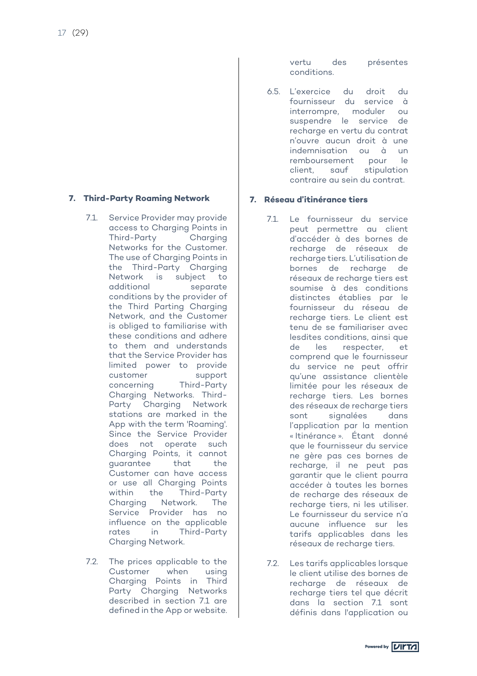# **7. Third-Party Roaming Network**

- 7.1. Service Provider may provide access to Charging Points in Third-Party Charging Networks for the Customer. The use of Charging Points in the Third-Party Charging Network is subject to additional separate conditions by the provider of the Third Parting Charging Network, and the Customer is obliged to familiarise with these conditions and adhere to them and understands that the Service Provider has limited power to provide customer support concerning Third-Party Charging Networks. Third-Party Charging Network stations are marked in the App with the term 'Roaming'. Since the Service Provider does not operate such Charging Points, it cannot guarantee that the Customer can have access or use all Charging Points within the Third-Party Charging Network. The Service Provider has no influence on the applicable rates in Third-Party Charging Network.
- 7.2. The prices applicable to the Customer when using Charging Points in Third Party Charging Networks described in section 7.1 are defined in the App or website.

vertu des présentes conditions.

6.5. L'exercice du droit du fournisseur du service à interrompre, moduler ou suspendre le service de recharge en vertu du contrat n'ouvre aucun droit à une indemnisation ou à un remboursement pour le client, sauf stipulation contraire au sein du contrat.

# **7. Réseau d'itinérance tiers**

- 7.1. Le fournisseur du service peut permettre au client d'accéder à des bornes de recharge de réseaux de recharge tiers. L'utilisation de bornes de recharge de réseaux de recharge tiers est soumise à des conditions distinctes établies par le fournisseur du réseau de recharge tiers. Le client est tenu de se familiariser avec lesdites conditions, ainsi que de les respecter, et comprend que le fournisseur du service ne peut offrir qu'une assistance clientèle limitée pour les réseaux de recharge tiers. Les bornes des réseaux de recharge tiers sont signalées dans l'application par la mention « Itinérance ». Étant donné que le fournisseur du service ne gère pas ces bornes de recharge, il ne peut pas garantir que le client pourra accéder à toutes les bornes de recharge des réseaux de recharge tiers, ni les utiliser. Le fournisseur du service n'a aucune influence sur les tarifs applicables dans les réseaux de recharge tiers.
- 7.2. Les tarifs applicables lorsque le client utilise des bornes de recharge de réseaux de recharge tiers tel que décrit dans la section 7.1 sont définis dans l'application ou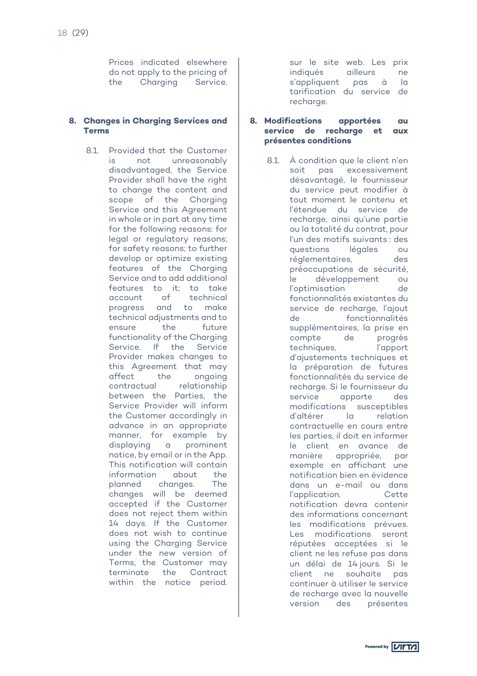Prices indicated elsewhere do not apply to the pricing of the Charging Service.

#### **8. Changes in Charging Services and Terms**

8.1. Provided that the Customer is not unreasonably disadvantaged, the Service Provider shall have the right to change the content and scope of the Charging Service and this Agreement in whole or in part at any time for the following reasons: for legal or regulatory reasons; for safety reasons; to further develop or optimize existing features of the Charging Service and to add additional features to it; to take account of technical progress and to make technical adjustments and to ensure the future functionality of the Charging Service. If the Service Provider makes changes to this Agreement that may affect the ongoing contractual relationship between the Parties, the Service Provider will inform the Customer accordingly in advance in an appropriate manner, for example by displaying a prominent notice, by email or in the App. This notification will contain information about the planned changes. The changes will be deemed accepted if the Customer does not reject them within 14 days. If the Customer does not wish to continue using the Charging Service under the new version of Terms, the Customer may terminate the Contract within the notice period.

sur le site web. Les prix indiqués ailleurs ne s'appliquent pas à la tarification du service de recharge.

#### **8. Modifications apportées au service de recharge et aux présentes conditions**

8.1. À condition que le client n'en soit pas excessivement désavantagé, le fournisseur du service peut modifier à tout moment le contenu et l'étendue du service de recharge, ainsi qu'une partie ou la totalité du contrat, pour l'un des motifs suivants : des questions légales ou réglementaires, des préoccupations de sécurité, le développement ou l'optimisation de fonctionnalités existantes du service de recharge, l'ajout de fonctionnalités supplémentaires, la prise en compte de progrès techniques, l'apport d'ajustements techniques et la préparation de futures fonctionnalités du service de recharge. Si le fournisseur du service apporte des modifications susceptibles d'altérer la relation contractuelle en cours entre les parties, il doit en informer le client en avance de manière appropriée, par exemple en affichant une notification bien en évidence dans un e-mail ou dans<br>L'application des Cettes l'application. notification devra contenir des informations concernant les modifications prévues. Les modifications seront réputées acceptées si le client ne les refuse pas dans un délai de 14 jours. Si le client ne souhaite pas continuer à utiliser le service de recharge avec la nouvelle version des présentes

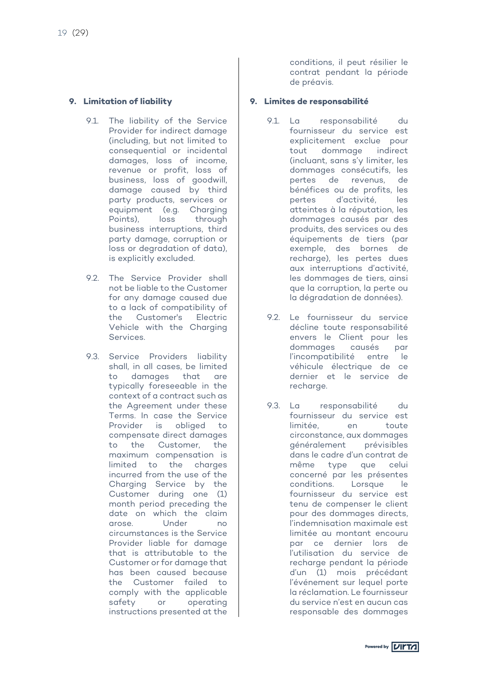# **9. Limitation of liability**

- 9.1. The liability of the Service Provider for indirect damage (including, but not limited to consequential or incidental damages, loss of income, revenue or profit, loss of business, loss of goodwill, damage caused by third party products, services or equipment (e.g. Charging<br>Points). loss through loss through business interruptions, third party damage, corruption or loss or degradation of data), is explicitly excluded.
- 9.2. The Service Provider shall not be liable to the Customer for any damage caused due to a lack of compatibility of the Customer's Electric Vehicle with the Charging Services.
- 9.3. Service Providers liability shall, in all cases, be limited to damages that are typically foreseeable in the context of a contract such as the Agreement under these Terms. In case the Service Provider is obliged to compensate direct damages to the Customer, the maximum compensation is limited to the charges incurred from the use of the Charging Service by the Customer during one (1) month period preceding the date on which the claim arose. Under no circumstances is the Service Provider liable for damage that is attributable to the Customer or for damage that has been caused because the Customer failed to comply with the applicable<br>safety or operating or operating instructions presented at the

conditions, il peut résilier le contrat pendant la période de préavis.

# **9. Limites de responsabilité**

- 9.1. La responsabilité du fournisseur du service est explicitement exclue pour tout dommage indirect (incluant, sans s'y limiter, les dommages consécutifs, les pertes de revenus, de bénéfices ou de profits, les pertes d'activité, les atteintes à la réputation, les dommages causés par des produits, des services ou des équipements de tiers (par exemple, des bornes de recharge), les pertes dues aux interruptions d'activité, les dommages de tiers, ainsi que la corruption, la perte ou la dégradation de données).
- 9.2. Le fournisseur du service décline toute responsabilité envers le Client pour les dommages causés par l'incompatibilité entre le véhicule électrique de ce dernier et le service de recharge.
- 9.3. La responsabilité du fournisseur du service est limitée, en toute circonstance, aux dommages généralement prévisibles dans le cadre d'un contrat de même type que celui concerné par les présentes conditions. Lorsque le fournisseur du service est tenu de compenser le client pour des dommages directs, l'indemnisation maximale est limitée au montant encouru par ce dernier lors de l'utilisation du service de recharge pendant la période d'un (1) mois précédant l'événement sur lequel porte la réclamation. Le fournisseur du service n'est en aucun cas responsable des dommages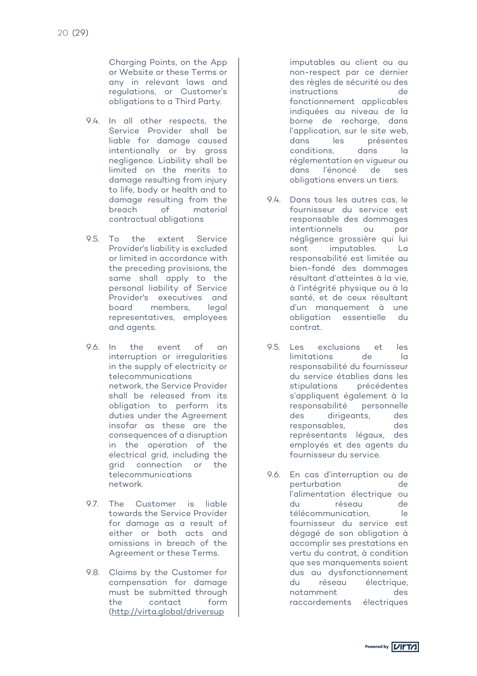Charging Points, on the App or Website or these Terms or any in relevant laws and regulations, or Customer's obligations to a Third Party.

- 9.4. In all other respects, the Service Provider shall be liable for damage caused intentionally or by gross negligence. Liability shall be limited on the merits to damage resulting from injury to life, body or health and to damage resulting from the breach of material contractual obligations
- 9.5. To the extent Service Provider's liability is excluded or limited in accordance with the preceding provisions, the same shall apply to the personal liability of Service Provider's executives and board members, legal representatives, employees and agents.
- 9.6. In the event of an interruption or irregularities in the supply of electricity or telecommunications network, the Service Provider shall be released from its obligation to perform its duties under the Agreement insofar as these are the consequences of a disruption in the operation of the electrical grid, including the connection or the telecommunications network.
- 9.7. The Customer is liable towards the Service Provider for damage as a result of either or both acts and omissions in breach of the Agreement or these Terms.
- 9.8. Claims by the Customer for compensation for damage must be submitted through the contact form (http://virta.global/driversup

imputables au client ou au non-respect par ce dernier des règles de sécurité ou des instructions de fonctionnement applicables indiquées au niveau de la borne de recharge, dans l'application, sur le site web,<br>dans les présentes présentes conditions, dans la réglementation en vigueur ou dans l'énoncé de ses obligations envers un tiers.

- 9.4. Dans tous les autres cas, le fournisseur du service est responsable des dommages intentionnels ou par négligence grossière qui lui sont imputables. La responsabilité est limitée au bien-fondé des dommages résultant d'atteintes à la vie, à l'intégrité physique ou à la santé, et de ceux résultant d'un manquement à une obligation essentielle du contrat.
- 9.5. Les exclusions et les<br>limitations de la limitations de la responsabilité du fournisseur du service établies dans les stipulations précédentes s'appliquent également à la responsabilité personnelle des dirigeants, des responsables, des représentants légaux, des employés et des agents du fournisseur du service.
- 9.6. En cas d'interruption ou de perturbation de l'alimentation électrique ou du réseau de télécommunication, le fournisseur du service est dégagé de son obligation à accomplir ses prestations en vertu du contrat, à condition que ses manquements soient dus au dysfonctionnement du réseau électrique, notamment des raccordements électriques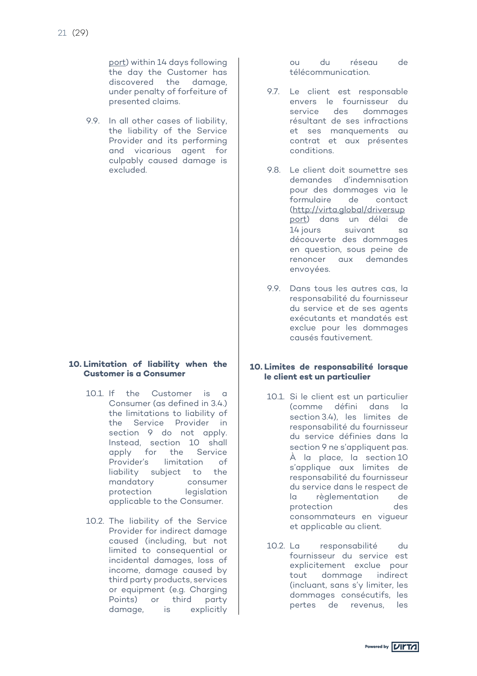port) within 14 days following the day the Customer has discovered the damage, under penalty of forfeiture of presented claims.

9.9. In all other cases of liability, the liability of the Service Provider and its performing and vicarious agent for culpably caused damage is excluded.

#### **10. Limitation of liability when the Customer is a Consumer**

- 10.1. If the Customer is a Consumer (as defined in 3.4.) the limitations to liability of the Service Provider in section 9 do not apply. Instead, section 10 shall apply for the Service Provider's limitation of liability subject to the mandatory consumer protection legislation applicable to the Consumer.
- 10.2. The liability of the Service Provider for indirect damage caused (including, but not limited to consequential or incidental damages, loss of income, damage caused by third party products, services or equipment (e.g. Charging Points) or third party damage, is explicitly

ou du réseau de télécommunication.

- 9.7. Le client est responsable envers le fournisseur du service des dommages résultant de ses infractions et ses manquements au contrat et aux présentes conditions.
- 9.8. Le client doit soumettre ses demandes d'indemnisation pour des dommages via le formulaire de contact (http://virta.global/driversup port) dans un délai de 14 jours suivant sa découverte des dommages en question, sous peine de renoncer aux demandes envoyées.
- 9.9. Dans tous les autres cas, la responsabilité du fournisseur du service et de ses agents exécutants et mandatés est exclue pour les dommages causés fautivement.

#### **10. Limites de responsabilité lorsque le client est un particulier**

- 10.1. Si le client est un particulier (comme défini dans la section 3.4), les limites de responsabilité du fournisseur du service définies dans la section 9 ne s'appliquent pas. À la place, la section 10 s'applique aux limites de responsabilité du fournisseur du service dans le respect de la règlementation de protection des consommateurs en vigueur et applicable au client.
- 10.2. La responsabilité du fournisseur du service est explicitement exclue pour tout dommage indirect (incluant, sans s'y limiter, les dommages consécutifs, les pertes de revenus, les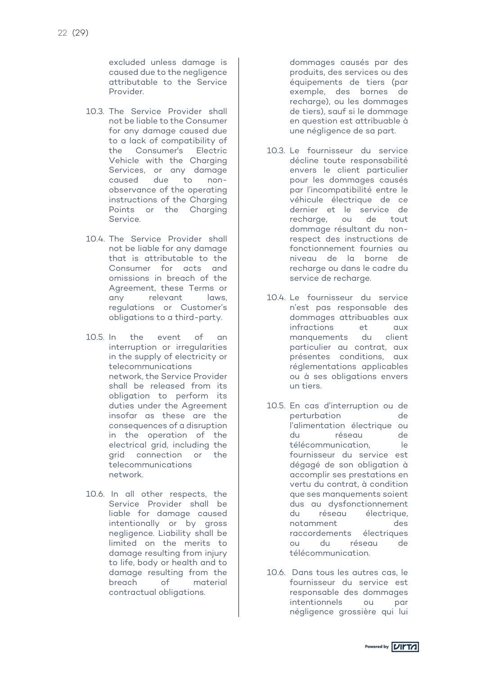excluded unless damage is caused due to the negligence attributable to the Service Provider.

- 10.3. The Service Provider shall not be liable to the Consumer for any damage caused due to a lack of compatibility of the Consumer's Electric Vehicle with the Charging Services, or any damage caused due to nonobservance of the operating instructions of the Charging Points or the Charging Service.
- 10.4. The Service Provider shall not be liable for any damage that is attributable to the Consumer for acts and omissions in breach of the Agreement, these Terms or any relevant laws, regulations or Customer's obligations to a third-party.
- 10.5. In the event of an interruption or irregularities in the supply of electricity or telecommunications network, the Service Provider shall be released from its obligation to perform its duties under the Agreement insofar as these are the consequences of a disruption in the operation of the electrical grid, including the grid connection or the telecommunications network.
- 10.6. In all other respects, the Service Provider shall be liable for damage caused intentionally or by gross negligence. Liability shall be limited on the merits to damage resulting from injury to life, body or health and to damage resulting from the<br>breach of material material contractual obligations.

dommages causés par des produits, des services ou des équipements de tiers (par exemple, des bornes de recharge), ou les dommages de tiers), sauf si le dommage en question est attribuable à une négligence de sa part.

- 10.3. Le fournisseur du service décline toute responsabilité envers le client particulier pour les dommages causés par l'incompatibilité entre le véhicule électrique de ce dernier et le service de recharge, ou de tout dommage résultant du nonrespect des instructions de fonctionnement fournies au niveau de la borne de recharge ou dans le cadre du service de recharge.
- 10.4. Le fournisseur du service n'est pas responsable des dommages attribuables aux infractions et aux manquements du client particulier au contrat, aux présentes conditions, aux réglementations applicables ou à ses obligations envers un tiers.
- 10.5. En cas d'interruption ou de perturbation de l'alimentation électrique ou du réseau de télécommunication, le fournisseur du service est dégagé de son obligation à accomplir ses prestations en vertu du contrat, à condition que ses manquements soient dus au dysfonctionnement du réseau électrique, notamment des raccordements électriques<br>ou du réseau de ou du réseau de télécommunication.
- 10.6. Dans tous les autres cas, le fournisseur du service est responsable des dommages intentionnels ou par négligence grossière qui lui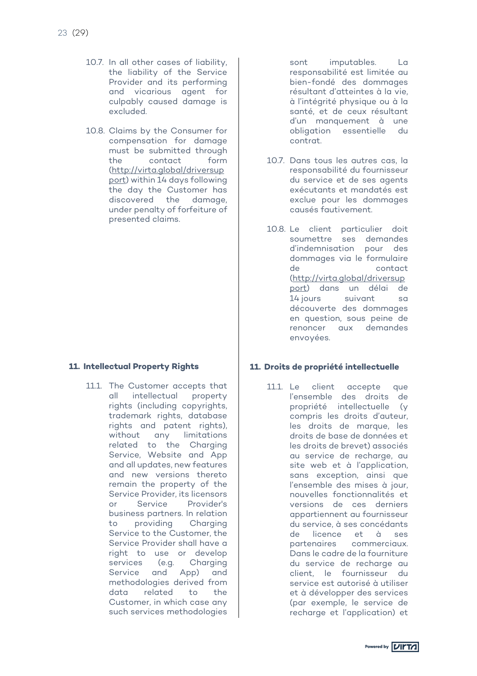- 10.7. In all other cases of liability, the liability of the Service Provider and its performing and vicarious agent for culpably caused damage is excluded.
- 10.8. Claims by the Consumer for compensation for damage must be submitted through the contact form (http://virta.global/driversup port) within 14 days following the day the Customer has discovered the damage, under penalty of forfeiture of presented claims.

#### **11. Intellectual Property Rights**

11.1. The Customer accepts that all intellectual property rights (including copyrights, trademark rights, database rights and patent rights), without any limitations related to the Charging Service, Website and App and all updates, new features and new versions thereto remain the property of the Service Provider, its licensors or Service Provider's business partners. In relation to providing Charging Service to the Customer, the Service Provider shall have a right to use or develop services (e.g. Charging Service and App) and methodologies derived from data related to the Customer, in which case any such services methodologies

sont imputables. La responsabilité est limitée au bien-fondé des dommages résultant d'atteintes à la vie, à l'intégrité physique ou à la santé, et de ceux résultant d'un manquement à une obligation essentielle du contrat.

- 10.7. Dans tous les autres cas, la responsabilité du fournisseur du service et de ses agents exécutants et mandatés est exclue pour les dommages causés fautivement.
- 10.8. Le client particulier doit soumettre ses demandes d'indemnisation pour des dommages via le formulaire de contact (http://virta.global/driversup port) dans un délai de 14 jours suivant sa découverte des dommages en question, sous peine de renoncer aux demandes envoyées.

#### **11. Droits de propriété intellectuelle**

11.1. Le client accepte que l'ensemble des droits de propriété intellectuelle (y compris les droits d'auteur, les droits de marque, les droits de base de données et les droits de brevet) associés au service de recharge, au site web et à l'application, sans exception, ainsi que l'ensemble des mises à jour, nouvelles fonctionnalités et versions de ces derniers appartiennent au fournisseur du service, à ses concédants de licence et à ses partenaires commerciaux. Dans le cadre de la fourniture du service de recharge au client, le fournisseur du service est autorisé à utiliser et à développer des services (par exemple, le service de recharge et l'application) et

Powered by **VIITA**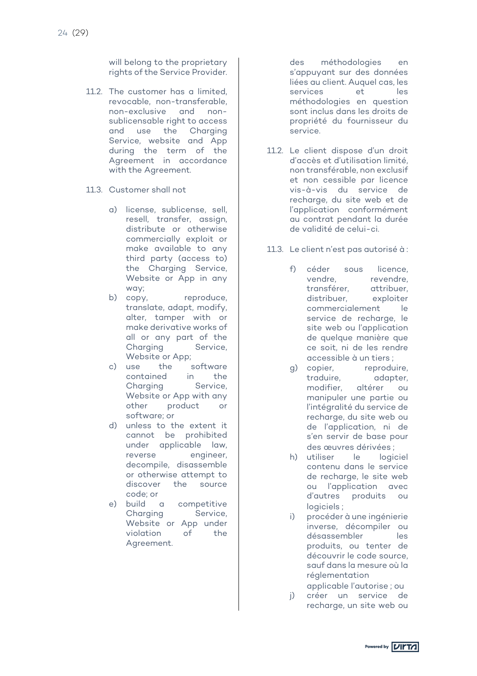will belong to the proprietary rights of the Service Provider.

- 11.2. The customer has a limited, revocable, non-transferable, non-exclusive and nonsublicensable right to access and use the Charging Service, website and App during the term of the Agreement in accordance with the Agreement.
- 11.3. Customer shall not
	- a) license, sublicense, sell, resell, transfer, assign, distribute or otherwise commercially exploit or make available to any third party (access to) the Charging Service, Website or App in any way;
	- b) copy, reproduce, translate, adapt, modify, alter, tamper with or make derivative works of all or any part of the Charging Service, Website or App;
	- c) use the software contained in the Charging Service, Website or App with any other product or software; or
	- d) unless to the extent it cannot be prohibited under applicable law, reverse engineer, decompile, disassemble or otherwise attempt to discover the source code; or
	- e) build a competitive Charging Service, Website or App under violation of the Agreement.

des méthodologies en s'appuyant sur des données liées au client. Auquel cas, les services et les méthodologies en question sont inclus dans les droits de propriété du fournisseur du service.

- 11.2. Le client dispose d'un droit d'accès et d'utilisation limité, non transférable, non exclusif et non cessible par licence vis-à-vis du service de recharge, du site web et de l'application conformément au contrat pendant la durée de validité de celui-ci.
- 11.3. Le client n'est pas autorisé à :
	- f) céder sous licence, vendre, revendre, transférer, attribuer, distribuer, exploiter commercialement le service de recharge, le site web ou l'application de quelque manière que ce soit, ni de les rendre accessible à un tiers ;
	- g) copier, reproduire, traduire, adapter,<br>modifier, altérer ou modifier, altérer ou manipuler une partie ou l'intégralité du service de recharge, du site web ou de l'application, ni de s'en servir de base pour des œuvres dérivées ;
	- h) utiliser le logiciel contenu dans le service de recharge, le site web ou l'application avec d'autres produits ou logiciels ;
	- i) procéder à une ingénierie inverse, décompiler ou désassembler les produits, ou tenter de découvrir le code source, sauf dans la mesure où la réglementation
	- applicable l'autorise ; ou j) créer un service de
	- recharge, un site web ou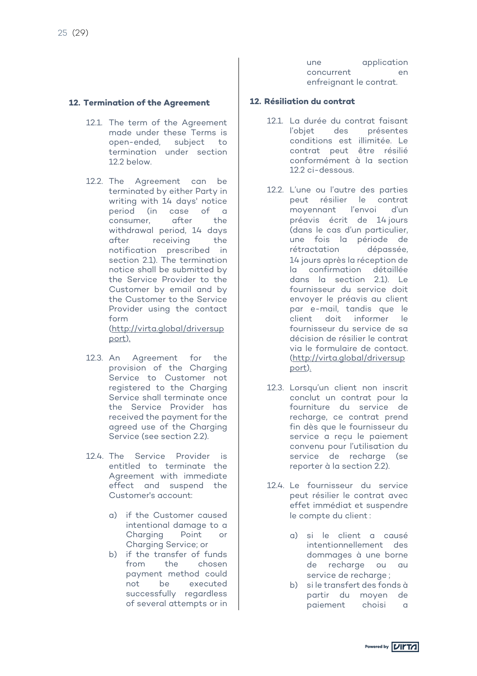#### **12. Termination of the Agreement**

- 12.1. The term of the Agreement made under these Terms is open-ended, subject to termination under section 12.2 below.
- 12.2. The Agreement can be terminated by either Party in writing with 14 days' notice period (in case of a consumer, after the withdrawal period, 14 days after receiving the notification prescribed in section 2.1). The termination notice shall be submitted by the Service Provider to the Customer by email and by the Customer to the Service Provider using the contact form

(http://virta.global/driversup port).

- 12.3. An Agreement for the provision of the Charging Service to Customer not registered to the Charging Service shall terminate once the Service Provider has received the payment for the agreed use of the Charging Service (see section 2.2).
- 12.4. The Service Provider is entitled to terminate the Agreement with immediate effect and suspend the Customer's account:
	- a) if the Customer caused intentional damage to a Charging Point or Charging Service; or
	- b) if the transfer of funds from the chosen payment method could not be executed successfully regardless of several attempts or in

une application concurrent en enfreignant le contrat.

#### **12. Résiliation du contrat**

- 12.1. La durée du contrat faisant l'objet des présentes conditions est illimitée. Le contrat peut être résilié conformément à la section 12.2 ci-dessous.
- 12.2. L'une ou l'autre des parties peut résilier le contrat moyennant l'envoi d'un préavis écrit de 14 jours (dans le cas d'un particulier, une fois la période de rétractation dépassée, 14 jours après la réception de la confirmation détaillée dans la section 2.1). Le fournisseur du service doit envoyer le préavis au client par e-mail, tandis que le client doit informer le fournisseur du service de sa décision de résilier le contrat via le formulaire de contact. (http://virta.global/driversup port).
- 12.3. Lorsqu'un client non inscrit conclut un contrat pour la fourniture du service de recharge, ce contrat prend fin dès que le fournisseur du service a recu le paiement convenu pour l'utilisation du service de recharge (se reporter à la section 2.2).
- 12.4. Le fournisseur du service peut résilier le contrat avec effet immédiat et suspendre le compte du client :
	- a) si le client a causé intentionnellement des dommages à une borne de recharge ou au service de recharge ;
	- b) si le transfert des fonds à partir du moyen de paiement choisi a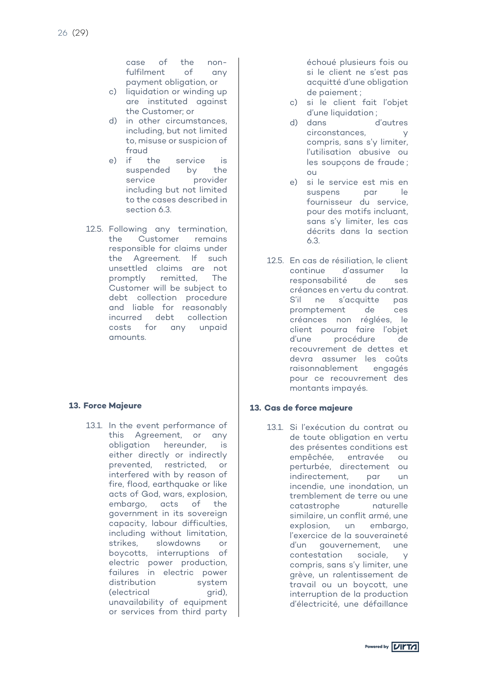case of the nonfulfilment of any payment obligation, or

- c) liquidation or winding up are instituted against the Customer; or
- d) in other circumstances, including, but not limited to, misuse or suspicion of fraud
- e) if the service is suspended by the service provider including but not limited to the cases described in section 6.3.
- 12.5. Following any termination, the Customer remains responsible for claims under the Agreement. If such unsettled claims are not promptly remitted, The Customer will be subject to debt collection procedure and liable for reasonably incurred debt collection costs for any unpaid amounts.

# **13. Force Majeure**

13.1. In the event performance of this Agreement, or any obligation hereunder, is either directly or indirectly prevented, restricted, or interfered with by reason of fire, flood, earthquake or like acts of God, wars, explosion, embargo, acts of the government in its sovereign capacity, labour difficulties, including without limitation, strikes, slowdowns or boycotts, interruptions of electric power production, failures in electric power distribution system (electrical grid), unavailability of equipment or services from third party

échoué plusieurs fois ou si le client ne s'est pas acquitté d'une obligation de paiement ;

- c) si le client fait l'objet d'une liquidation ;
- d) dans d'autres circonstances, y compris, sans s'y limiter, l'utilisation abusive ou les soupçons de fraude ; ou
- e) si le service est mis en suspens par le fournisseur du service, pour des motifs incluant, sans s'y limiter, les cas décrits dans la section 6.3.
- 12.5. En cas de résiliation, le client continue d'assumer la responsabilité de ses créances en vertu du contrat. S'il ne s'acquitte pas promptement de ces créances non réglées, le client pourra faire l'objet d'une procédure de recouvrement de dettes et devra assumer les coûts raisonnablement engagés pour ce recouvrement des montants impayés.

#### **13. Cas de force majeure**

13.1. Si l'exécution du contrat ou de toute obligation en vertu des présentes conditions est empêchée, entravée ou perturbée, directement ou indirectement, par un incendie, une inondation, un tremblement de terre ou une catastrophe naturelle similaire, un conflit armé, une explosion, un embargo, l'exercice de la souveraineté d'un gouvernement, une contestation sociale, y compris, sans s'y limiter, une grève, un ralentissement de travail ou un boycott, une interruption de la production d'électricité, une défaillance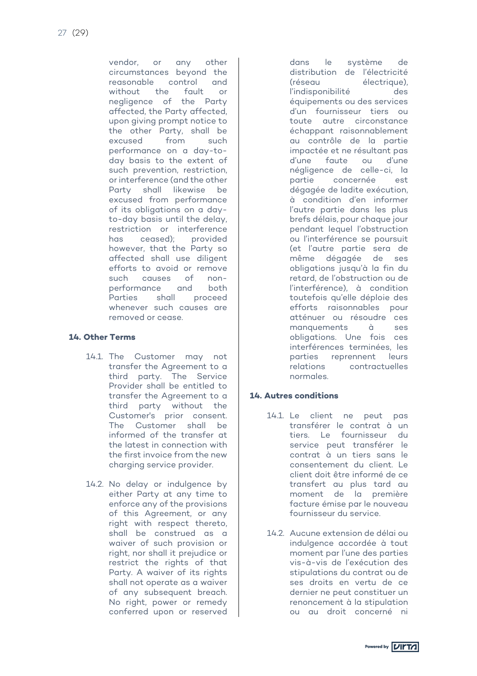vendor, or any other circumstances beyond the reasonable control and without the fault or negligence of the Party affected, the Party affected, upon giving prompt notice to the other Party, shall be excused from such performance on a day-today basis to the extent of such prevention, restriction, or interference (and the other Party shall likewise be excused from performance of its obligations on a dayto-day basis until the delay, restriction or interference has ceased); provided however, that the Party so affected shall use diligent efforts to avoid or remove such causes of nonperformance and both Parties shall proceed whenever such causes are removed or cease.

#### **14. Other Terms**

- 14.1. The Customer may not transfer the Agreement to a third party. The Service Provider shall be entitled to transfer the Agreement to a third party without the Customer's prior consent. The Customer shall be informed of the transfer at the latest in connection with the first invoice from the new charging service provider.
- 14.2. No delay or indulgence by either Party at any time to enforce any of the provisions of this Agreement, or any right with respect thereto, shall be construed as a waiver of such provision or right, nor shall it prejudice or restrict the rights of that Party. A waiver of its rights shall not operate as a waiver of any subsequent breach. No right, power or remedy conferred upon or reserved

dans le système de distribution de l'électricité (réseau électrique), l'indisponibilité des équipements ou des services d'un fournisseur tiers ou toute autre circonstance échappant raisonnablement au contrôle de la partie impactée et ne résultant pas d'une faute ou d'une négligence de celle-ci, la partie concernée est dégagée de ladite exécution, à condition d'en informer l'autre partie dans les plus brefs délais, pour chaque jour pendant lequel l'obstruction ou l'interférence se poursuit (et l'autre partie sera de même dégagée de ses obligations jusqu'à la fin du retard, de l'obstruction ou de l'interférence), à condition toutefois qu'elle déploie des efforts raisonnables pour atténuer ou résoudre ces manquements à ses obligations. Une fois ces interférences terminées, les parties reprennent leurs relations contractuelles normales.

#### **14. Autres conditions**

- 14.1. Le client ne peut pas transférer le contrat à un tiers. Le fournisseur du service peut transférer le contrat à un tiers sans le consentement du client. Le client doit être informé de ce transfert au plus tard au moment de la première facture émise par le nouveau fournisseur du service.
- 14.2. Aucune extension de délai ou indulgence accordée à tout moment par l'une des parties vis-à-vis de l'exécution des stipulations du contrat ou de ses droits en vertu de ce dernier ne peut constituer un renoncement à la stipulation ou au droit concerné ni

Powered by **VIITA**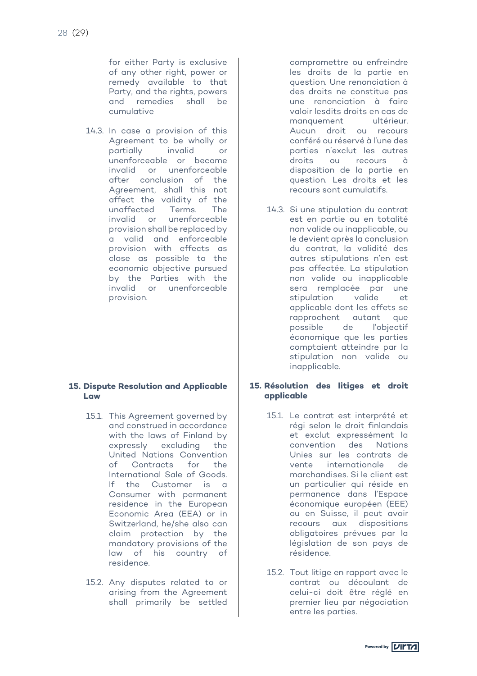for either Party is exclusive of any other right, power or remedy available to that Party, and the rights, powers and remedies shall be cumulative

14.3. In case a provision of this Agreement to be wholly or partially invalid or unenforceable or become invalid or unenforceable after conclusion of the Agreement, shall this not affect the validity of the unaffected Terms. The invalid or unenforceable provision shall be replaced by a valid and enforceable provision with effects as close as possible to the economic objective pursued by the Parties with the invalid or unenforceable provision.

#### **15. Dispute Resolution and Applicable Law**

- 15.1. This Agreement governed by and construed in accordance with the laws of Finland by expressly excluding the United Nations Convention of Contracts for the International Sale of Goods. If the Customer is a Consumer with permanent residence in the European Economic Area (EEA) or in Switzerland, he/she also can claim protection by the mandatory provisions of the law of his country of residence.
- 15.2. Any disputes related to or arising from the Agreement shall primarily be settled

compromettre ou enfreindre les droits de la partie en question. Une renonciation à des droits ne constitue pas une renonciation à faire valoir lesdits droits en cas de manquement ultérieur. Aucun droit ou recours conféré ou réservé à l'une des parties n'exclut les autres droits ou recours à disposition de la partie en question. Les droits et les recours sont cumulatifs.

14.3. Si une stipulation du contrat est en partie ou en totalité non valide ou inapplicable, ou le devient après la conclusion du contrat, la validité des autres stipulations n'en est pas affectée. La stipulation non valide ou inapplicable sera remplacée par une stipulation valide et applicable dont les effets se rapprochent autant que possible de l'objectif économique que les parties comptaient atteindre par la stipulation non valide ou inapplicable.

#### **15. Résolution des litiges et droit applicable**

- 15.1. Le contrat est interprété et régi selon le droit finlandais et exclut expressément la convention des Nations Unies sur les contrats de vente internationale de marchandises. Si le client est un particulier qui réside en permanence dans l'Espace économique européen (EEE) ou en Suisse, il peut avoir recours aux dispositions obligatoires prévues par la législation de son pays de résidence.
- 15.2. Tout litige en rapport avec le contrat ou découlant de celui-ci doit être réglé en premier lieu par négociation entre les parties.